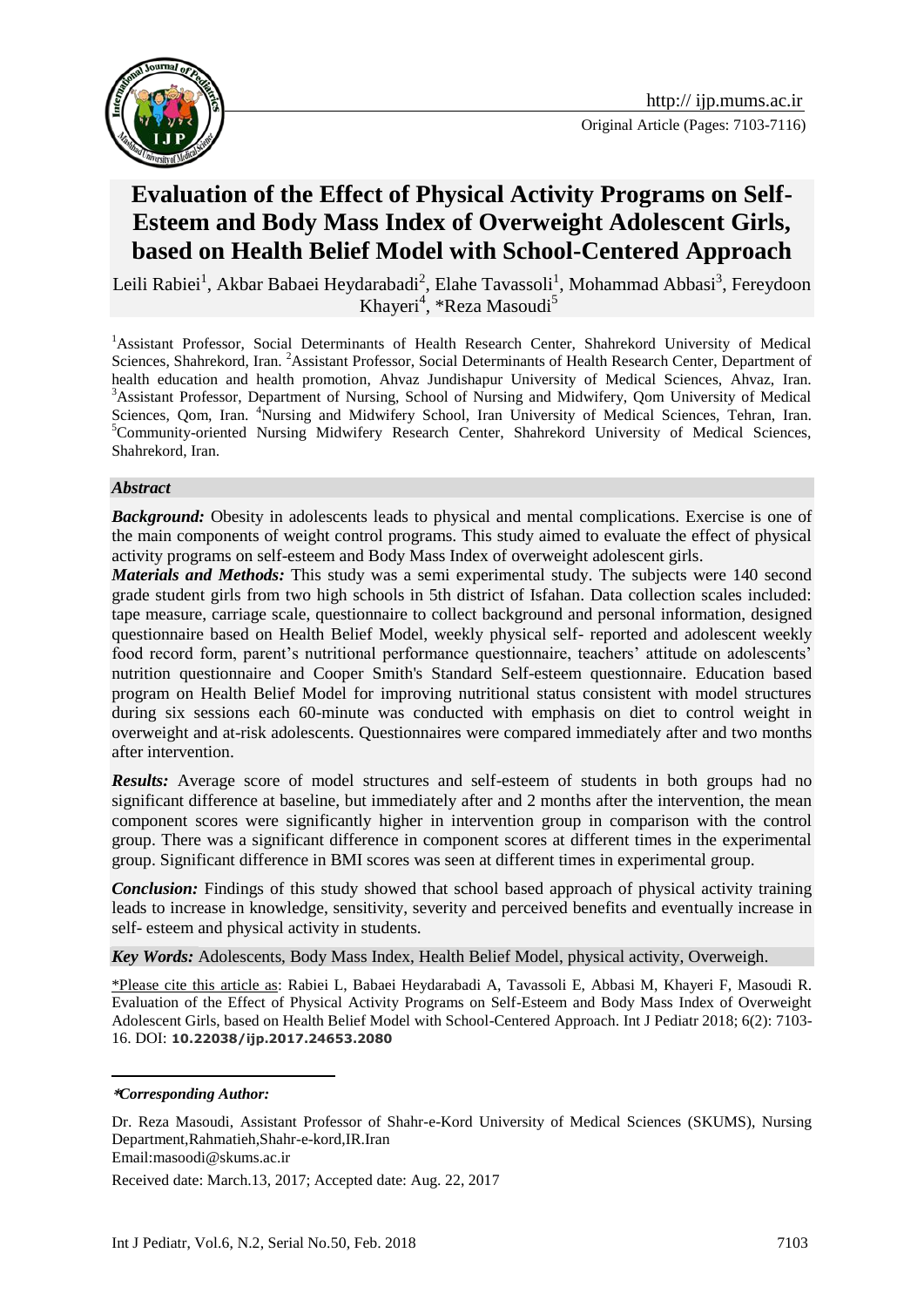

# **Evaluation of the Effect of Physical Activity Programs on Self-Esteem and Body Mass Index of Overweight Adolescent Girls, based on Health Belief Model with School-Centered Approach**

Leili Rabiei<sup>1</sup>, Akbar Babaei Heydarabadi<sup>2</sup>, Elahe Tavassoli<sup>1</sup>, Mohammad Abbasi<sup>3</sup>, Fereydoon Khayeri<sup>4</sup>, \*Reza Masoudi<sup>5</sup>

<sup>1</sup>Assistant Professor, Social Determinants of Health Research Center, Shahrekord University of Medical Sciences, Shahrekord, Iran. <sup>2</sup>Assistant Professor, Social Determinants of Health Research Center, Department of health education and health promotion, Ahvaz Jundishapur University of Medical Sciences, Ahvaz, Iran. <sup>3</sup>Assistant Professor, Department of Nursing, School of Nursing and Midwifery, Qom University of Medical Sciences, Qom, Iran. <sup>4</sup>Nursing and Midwifery School, Iran University of Medical Sciences, Tehran, Iran. <sup>5</sup>Community-oriented Nursing Midwifery Research Center, Shahrekord University of Medical Sciences, Shahrekord, Iran.

#### *Abstract*

**Background:** Obesity in adolescents leads to physical and mental complications. Exercise is one of the main components of weight control programs. This study aimed to evaluate the effect of physical activity programs on self-esteem and Body Mass Index of overweight adolescent girls.

*Materials and Methods:* This study was a semi experimental study. The subjects were 140 second grade student girls from two high schools in 5th district of Isfahan. Data collection scales included: tape measure, carriage scale, questionnaire to collect background and personal information, designed questionnaire based on Health Belief Model, weekly physical self- reported and adolescent weekly food record form, parent's nutritional performance questionnaire, teachers' attitude on adolescents' nutrition questionnaire and Cooper Smith's Standard Self-esteem questionnaire. Education based program on Health Belief Model for improving nutritional status consistent with model structures during six sessions each 60-minute was conducted with emphasis on diet to control weight in overweight and at-risk adolescents. Questionnaires were compared immediately after and two months after intervention.

**Results:** Average score of model structures and self-esteem of students in both groups had no significant difference at baseline, but immediately after and 2 months after the intervention, the mean component scores were significantly higher in intervention group in comparison with the control group. There was a significant difference in component scores at different times in the experimental group. Significant difference in BMI scores was seen at different times in experimental group.

*Conclusion:* Findings of this study showed that school based approach of physical activity training leads to increase in knowledge, sensitivity, severity and perceived benefits and eventually increase in self- esteem and physical activity in students.

*Key Words:* Adolescents, Body Mass Index, Health Belief Model, physical activity, Overweigh.

\*Please cite this article as: Rabiei L, Babaei Heydarabadi A, Tavassoli E, Abbasi M, Khayeri F, Masoudi R. Evaluation of the Effect of Physical Activity Programs on Self-Esteem and Body Mass Index of Overweight Adolescent Girls, based on Health Belief Model with School-Centered Approach. Int J Pediatr 2018; 6(2): 7103- 16. DOI: **10.22038/ijp.2017.24653.2080**

<u>.</u>

Received date: March.13, 2017; Accepted date: Aug. 22, 2017

**<sup>\*</sup>***Corresponding Author:*

Dr. Reza Masoudi, Assistant Professor of Shahr-e-Kord University of Medical Sciences (SKUMS), Nursing Department,Rahmatieh,Shahr-e-kord,IR.Iran

Email:masoodi@skums.ac.ir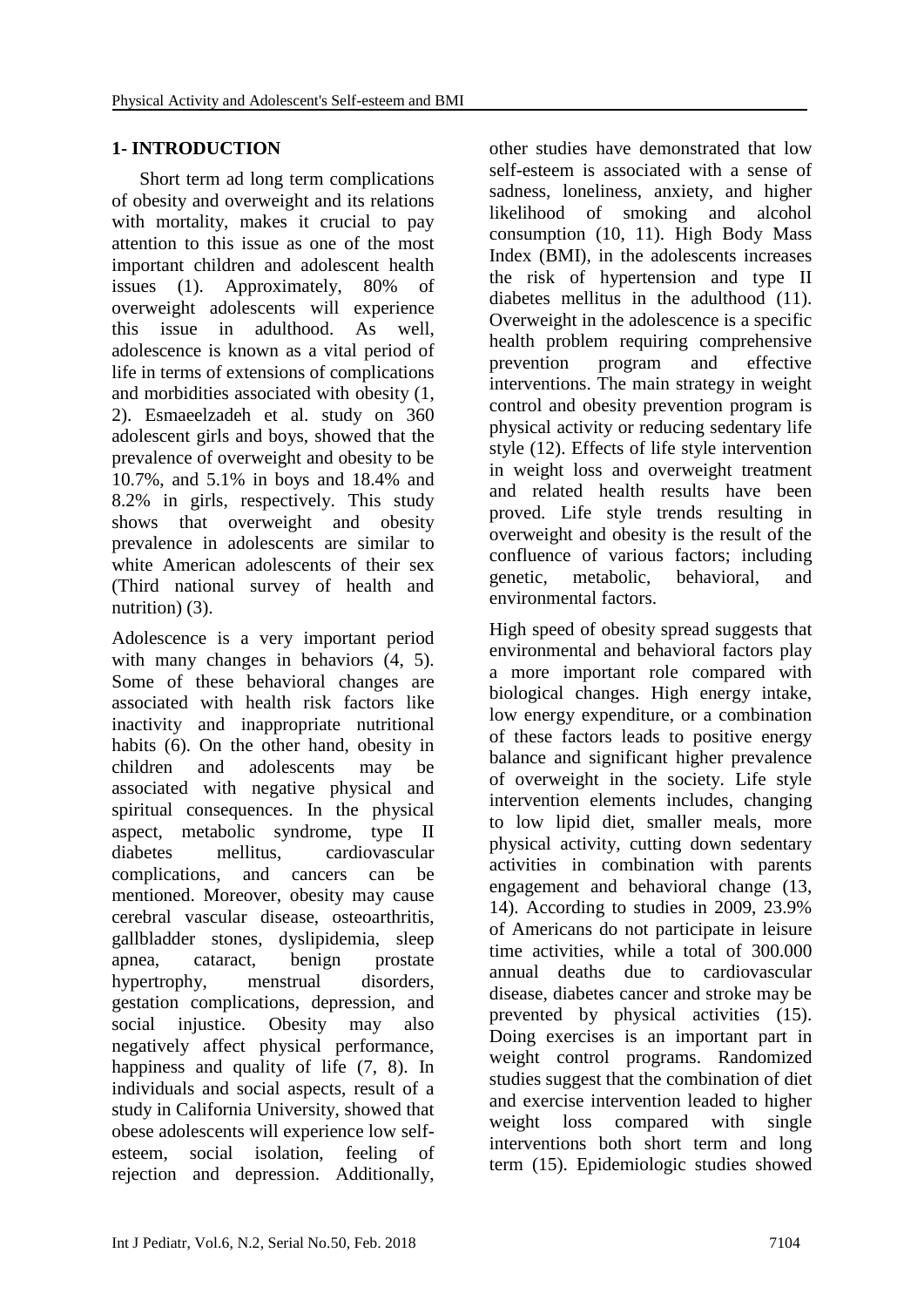#### **1- INTRODUCTION**

 Short term ad long term complications of obesity and overweight and its relations with mortality, makes it crucial to pay attention to this issue as one of the most important children and adolescent health issues (1). Approximately, 80% of overweight adolescents will experience this issue in adulthood. As well, adolescence is known as a vital period of life in terms of extensions of complications and morbidities associated with obesity (1, 2). Esmaeelzadeh et al. study on 360 adolescent girls and boys, showed that the prevalence of overweight and obesity to be 10.7%, and 5.1% in boys and 18.4% and 8.2% in girls, respectively. This study shows that overweight and obesity prevalence in adolescents are similar to white American adolescents of their sex (Third national survey of health and nutrition) (3).

Adolescence is a very important period with many changes in behaviors  $(4, 5)$ . Some of these behavioral changes are associated with health risk factors like inactivity and inappropriate nutritional habits (6). On the other hand, obesity in children and adolescents may be associated with negative physical and spiritual consequences. In the physical aspect, metabolic syndrome, type II diabetes mellitus, cardiovascular complications, and cancers can be mentioned. Moreover, obesity may cause cerebral vascular disease, osteoarthritis, gallbladder stones, dyslipidemia, sleep apnea, cataract, benign prostate hypertrophy, menstrual disorders, gestation complications, depression, and social injustice. Obesity may also negatively affect physical performance, happiness and quality of life (7, 8). In individuals and social aspects, result of a study in California University, showed that obese adolescents will experience low selfesteem, social isolation, feeling of rejection and depression. Additionally, other studies have demonstrated that low self-esteem is associated with a sense of sadness, loneliness, anxiety, and higher likelihood of smoking and alcohol consumption (10, 11). High Body Mass Index (BMI), in the adolescents increases the risk of hypertension and type II diabetes mellitus in the adulthood (11). Overweight in the adolescence is a specific health problem requiring comprehensive prevention program and effective interventions. The main strategy in weight control and obesity prevention program is physical activity or reducing sedentary life style (12). Effects of life style intervention in weight loss and overweight treatment and related health results have been proved. Life style trends resulting in overweight and obesity is the result of the confluence of various factors; including genetic, metabolic, behavioral, and environmental factors.

High speed of obesity spread suggests that environmental and behavioral factors play a more important role compared with biological changes. High energy intake, low energy expenditure, or a combination of these factors leads to positive energy balance and significant higher prevalence of overweight in the society. Life style intervention elements includes, changing to low lipid diet, smaller meals, more physical activity, cutting down sedentary activities in combination with parents engagement and behavioral change (13, 14). According to studies in 2009, 23.9% of Americans do not participate in leisure time activities, while a total of 300.000 annual deaths due to cardiovascular disease, diabetes cancer and stroke may be prevented by physical activities (15). Doing exercises is an important part in weight control programs. Randomized studies suggest that the combination of diet and exercise intervention leaded to higher weight loss compared with single interventions both short term and long term (15). Epidemiologic studies showed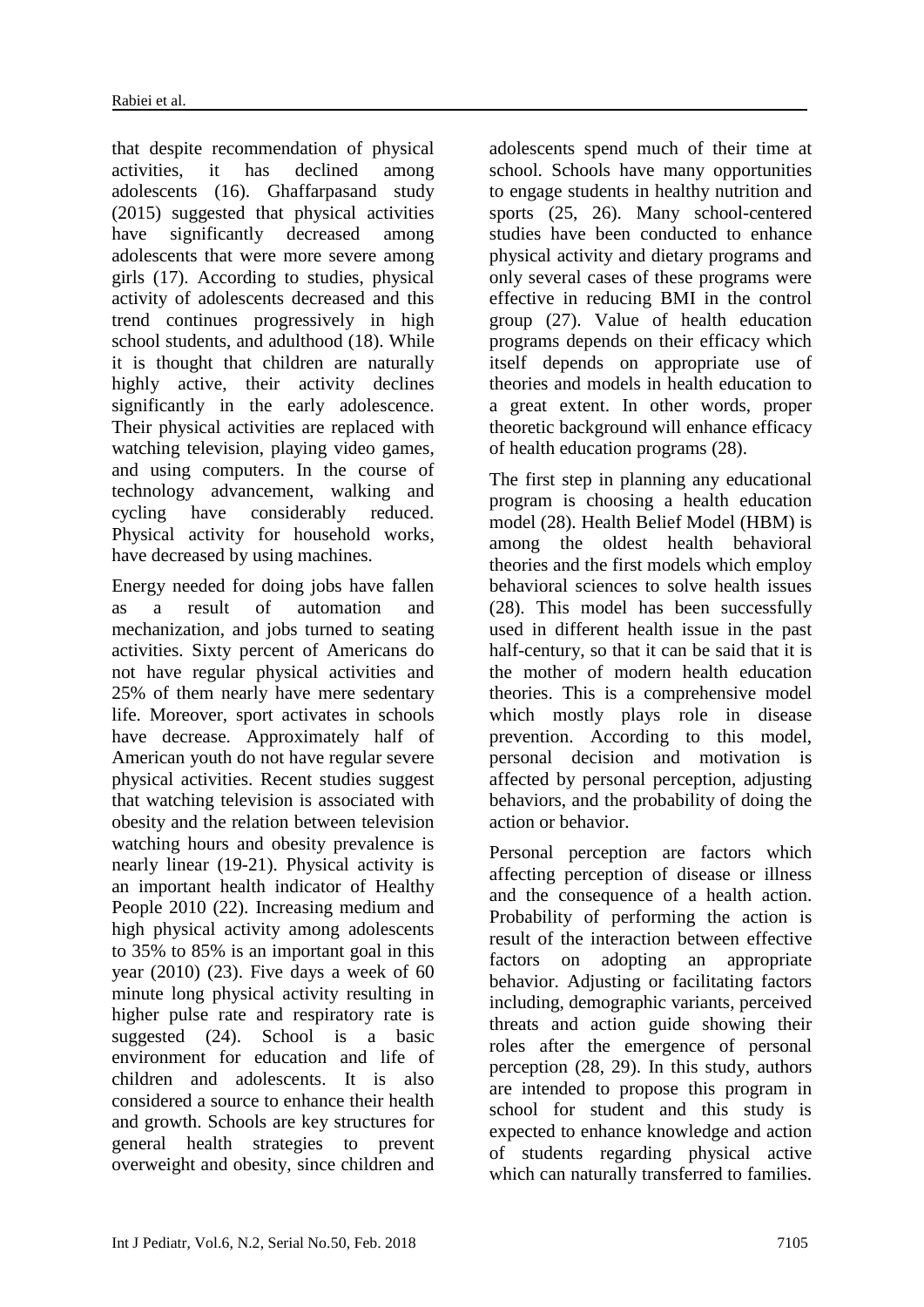that despite recommendation of physical activities, it has declined among adolescents (16). Ghaffarpasand study (2015) suggested that physical activities have significantly decreased among adolescents that were more severe among girls (17). According to studies, physical activity of adolescents decreased and this trend continues progressively in high school students, and adulthood (18). While it is thought that children are naturally highly active, their activity declines significantly in the early adolescence. Their physical activities are replaced with watching television, playing video games, and using computers. In the course of technology advancement, walking and cycling have considerably reduced. Physical activity for household works, have decreased by using machines.

Energy needed for doing jobs have fallen as a result of automation and mechanization, and jobs turned to seating activities. Sixty percent of Americans do not have regular physical activities and 25% of them nearly have mere sedentary life. Moreover, sport activates in schools have decrease. Approximately half of American youth do not have regular severe physical activities. Recent studies suggest that watching television is associated with obesity and the relation between television watching hours and obesity prevalence is nearly linear (19-21). Physical activity is an important health indicator of Healthy People 2010 (22). Increasing medium and high physical activity among adolescents to 35% to 85% is an important goal in this year  $(2010)$   $(23)$ . Five days a week of 60 minute long physical activity resulting in higher pulse rate and respiratory rate is suggested (24). School is a basic environment for education and life of children and adolescents. It is also considered a source to enhance their health and growth. Schools are key structures for general health strategies to prevent overweight and obesity, since children and

adolescents spend much of their time at school. Schools have many opportunities to engage students in healthy nutrition and sports (25, 26). Many school-centered studies have been conducted to enhance physical activity and dietary programs and only several cases of these programs were effective in reducing BMI in the control group (27). Value of health education programs depends on their efficacy which itself depends on appropriate use of theories and models in health education to a great extent. In other words, proper theoretic background will enhance efficacy of health education programs (28).

The first step in planning any educational program is choosing a health education model (28). Health Belief Model (HBM) is among the oldest health behavioral theories and the first models which employ behavioral sciences to solve health issues (28). This model has been successfully used in different health issue in the past half-century, so that it can be said that it is the mother of modern health education theories. This is a comprehensive model which mostly plays role in disease prevention. According to this model, personal decision and motivation is affected by personal perception, adjusting behaviors, and the probability of doing the action or behavior.

Personal perception are factors which affecting perception of disease or illness and the consequence of a health action. Probability of performing the action is result of the interaction between effective factors on adopting an appropriate behavior. Adjusting or facilitating factors including, demographic variants, perceived threats and action guide showing their roles after the emergence of personal perception (28, 29). In this study, authors are intended to propose this program in school for student and this study is expected to enhance knowledge and action of students regarding physical active which can naturally transferred to families.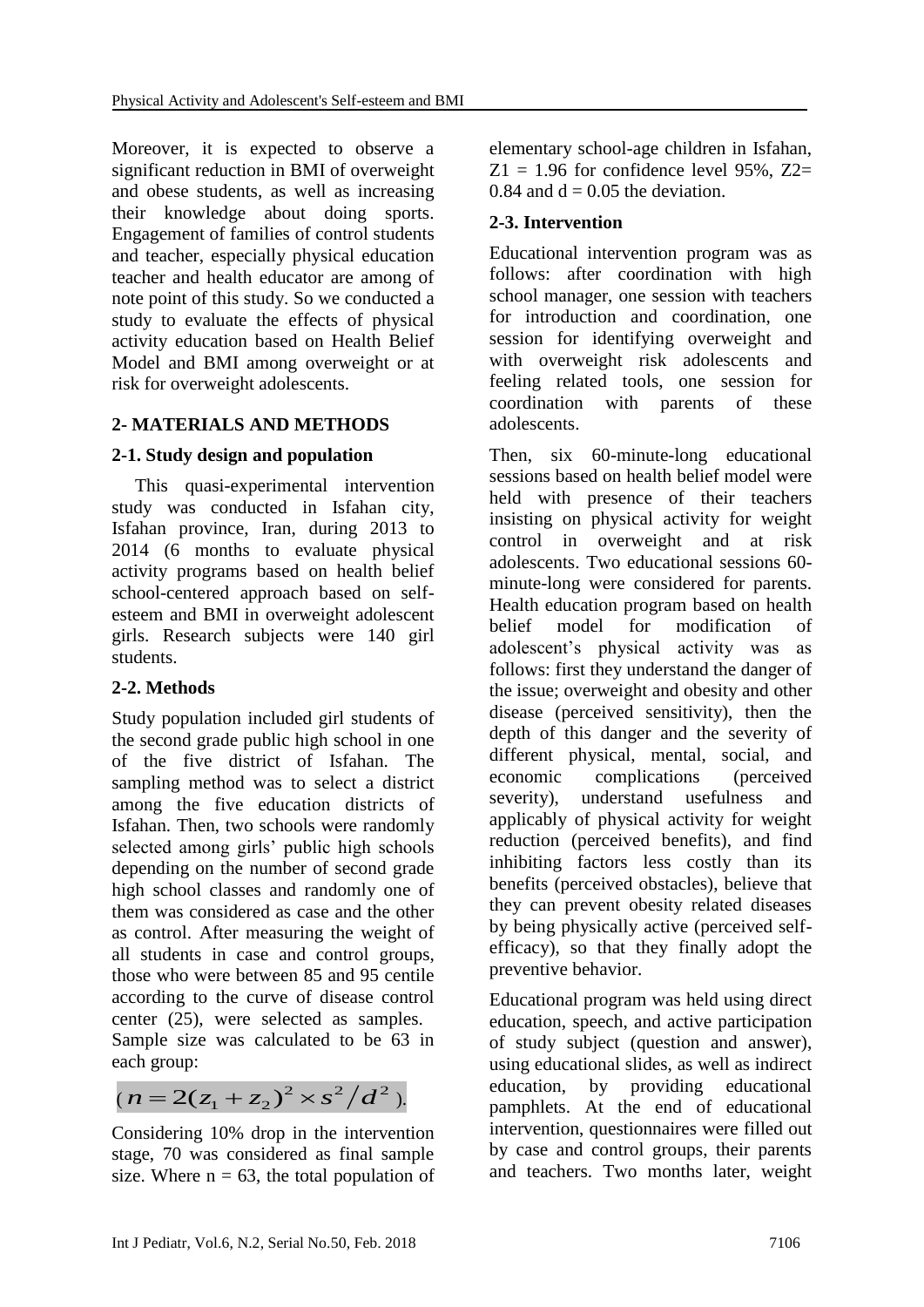Moreover, it is expected to observe a significant reduction in BMI of overweight and obese students, as well as increasing their knowledge about doing sports. Engagement of families of control students and teacher, especially physical education teacher and health educator are among of note point of this study. So we conducted a study to evaluate the effects of physical activity education based on Health Belief Model and BMI among overweight or at risk for overweight adolescents.

# **2- MATERIALS AND METHODS**

# **2-1. Study design and population**

 This quasi-experimental intervention study was conducted in Isfahan city, Isfahan province, Iran, during 2013 to 2014 (6 months to evaluate physical activity programs based on health belief school-centered approach based on selfesteem and BMI in overweight adolescent girls. Research subjects were 140 girl students.

# **2-2. Methods**

Study population included girl students of the second grade public high school in one of the five district of Isfahan. The sampling method was to select a district among the five education districts of Isfahan. Then, two schools were randomly selected among girls' public high schools depending on the number of second grade high school classes and randomly one of them was considered as case and the other as control. After measuring the weight of all students in case and control groups, those who were between 85 and 95 centile according to the curve of disease control center (25), were selected as samples. Sample size was calculated to be 63 in each group:

$$
(n=2(z_1+z_2)^2 \times s^2/d^2).
$$

Considering 10% drop in the intervention stage, 70 was considered as final sample size. Where  $n = 63$ , the total population of elementary school-age children in Isfahan,  $Z_1 = 1.96$  for confidence level 95%,  $Z_2 =$ 0.84 and  $d = 0.05$  the deviation.

#### **2-3. Intervention**

Educational intervention program was as follows: after coordination with high school manager, one session with teachers for introduction and coordination, one session for identifying overweight and with overweight risk adolescents and feeling related tools, one session for coordination with parents of these adolescents.

Then, six 60-minute-long educational sessions based on health belief model were held with presence of their teachers insisting on physical activity for weight control in overweight and at risk adolescents. Two educational sessions 60 minute-long were considered for parents. Health education program based on health belief model for modification of adolescent's physical activity was as follows: first they understand the danger of the issue; overweight and obesity and other disease (perceived sensitivity), then the depth of this danger and the severity of different physical, mental, social, and economic complications (perceived severity), understand usefulness and applicably of physical activity for weight reduction (perceived benefits), and find inhibiting factors less costly than its benefits (perceived obstacles), believe that they can prevent obesity related diseases by being physically active (perceived selfefficacy), so that they finally adopt the preventive behavior.

Educational program was held using direct education, speech, and active participation of study subject (question and answer), using educational slides, as well as indirect education, by providing educational pamphlets. At the end of educational intervention, questionnaires were filled out by case and control groups, their parents and teachers. Two months later, weight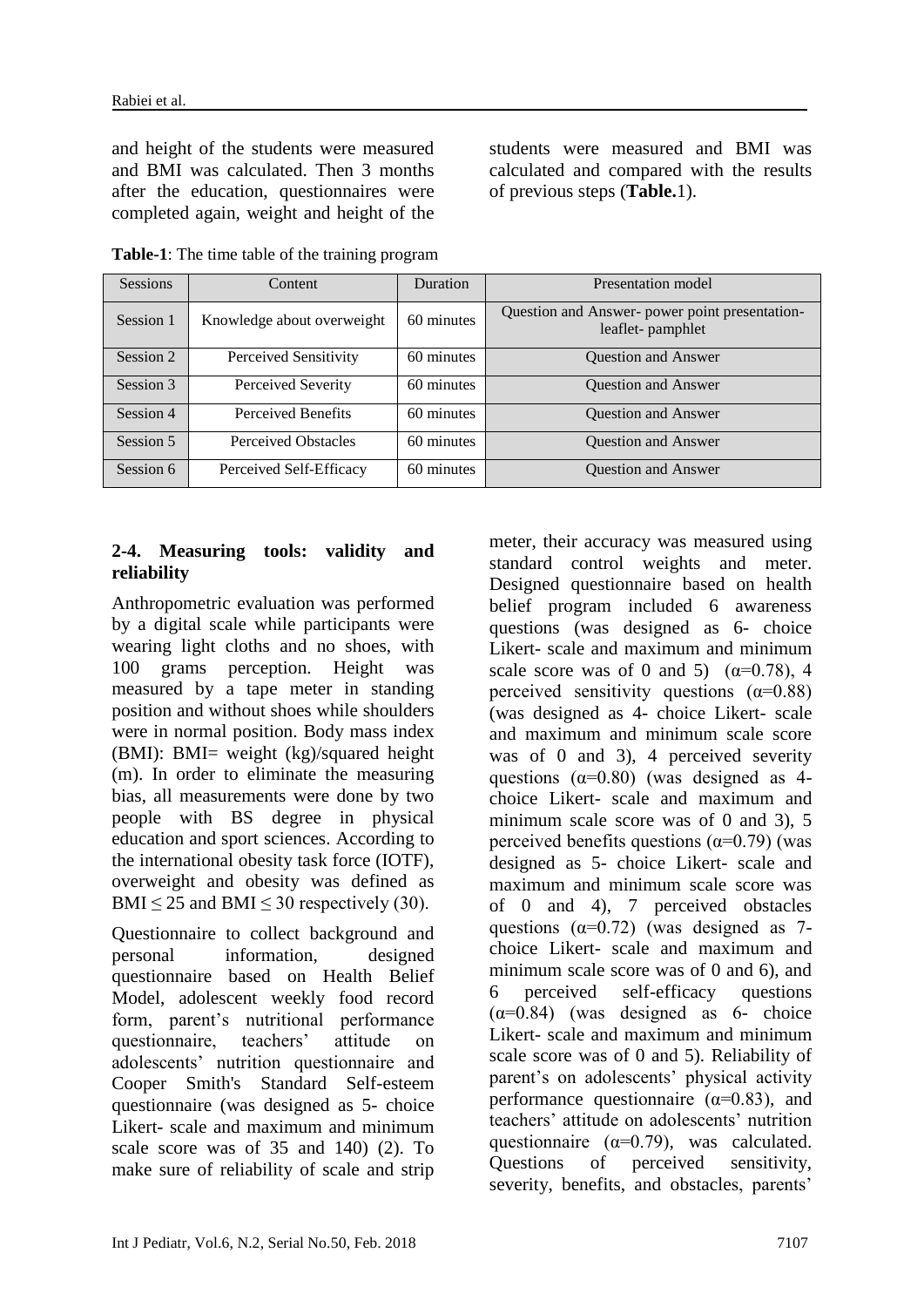and height of the students were measured and BMI was calculated. Then 3 months after the education, questionnaires were completed again, weight and height of the students were measured and BMI was calculated and compared with the results of previous steps (**Table.**1).

| <b>Sessions</b> | Content                    | Duration   | Presentation model                                                 |
|-----------------|----------------------------|------------|--------------------------------------------------------------------|
| Session 1       | Knowledge about overweight | 60 minutes | Question and Answer- power point presentation-<br>leaflet-pamphlet |
| Session 2       | Perceived Sensitivity      | 60 minutes | <b>Question and Answer</b>                                         |
| Session 3       | Perceived Severity         | 60 minutes | <b>Ouestion and Answer</b>                                         |
| Session 4       | Perceived Benefits         | 60 minutes | <b>Question and Answer</b>                                         |
| Session 5       | <b>Perceived Obstacles</b> | 60 minutes | <b>Ouestion and Answer</b>                                         |
| Session 6       | Perceived Self-Efficacy    | 60 minutes | <b>Question and Answer</b>                                         |

**Table-1**: The time table of the training program

#### **2-4. Measuring tools: validity and reliability**

Anthropometric evaluation was performed by a digital scale while participants were wearing light cloths and no shoes, with 100 grams perception. Height was measured by a tape meter in standing position and without shoes while shoulders were in normal position. Body mass index (BMI): BMI= weight (kg)/squared height (m). In order to eliminate the measuring bias, all measurements were done by two people with BS degree in physical education and sport sciences. According to the international obesity task force (IOTF), overweight and obesity was defined as BMI  $\leq$  25 and BMI  $\leq$  30 respectively (30).

Questionnaire to collect background and personal information, designed questionnaire based on Health Belief Model, adolescent weekly food record form, parent's nutritional performance questionnaire, teachers' attitude on adolescents' nutrition questionnaire and Cooper Smith's Standard Self-esteem questionnaire (was designed as 5- choice Likert- scale and maximum and minimum scale score was of 35 and 140) (2). To make sure of reliability of scale and strip

meter, their accuracy was measured using standard control weights and meter. Designed questionnaire based on health belief program included 6 awareness questions (was designed as 6- choice Likert- scale and maximum and minimum scale score was of 0 and 5)  $(\alpha=0.78)$ , 4 perceived sensitivity questions  $(\alpha=0.88)$ (was designed as 4- choice Likert- scale and maximum and minimum scale score was of 0 and 3), 4 perceived severity questions  $(\alpha=0.80)$  (was designed as 4choice Likert- scale and maximum and minimum scale score was of 0 and 3), 5 perceived benefits questions ( $\alpha$ =0.79) (was designed as 5- choice Likert- scale and maximum and minimum scale score was of 0 and 4), 7 perceived obstacles questions  $(\alpha=0.72)$  (was designed as 7choice Likert- scale and maximum and minimum scale score was of 0 and 6), and 6 perceived self-efficacy questions  $(\alpha=0.84)$  (was designed as 6- choice Likert- scale and maximum and minimum scale score was of 0 and 5). Reliability of parent's on adolescents' physical activity performance questionnaire ( $\alpha$ =0.83), and teachers' attitude on adolescents' nutrition questionnaire ( $\alpha$ =0.79), was calculated. Questions of perceived sensitivity, severity, benefits, and obstacles, parents'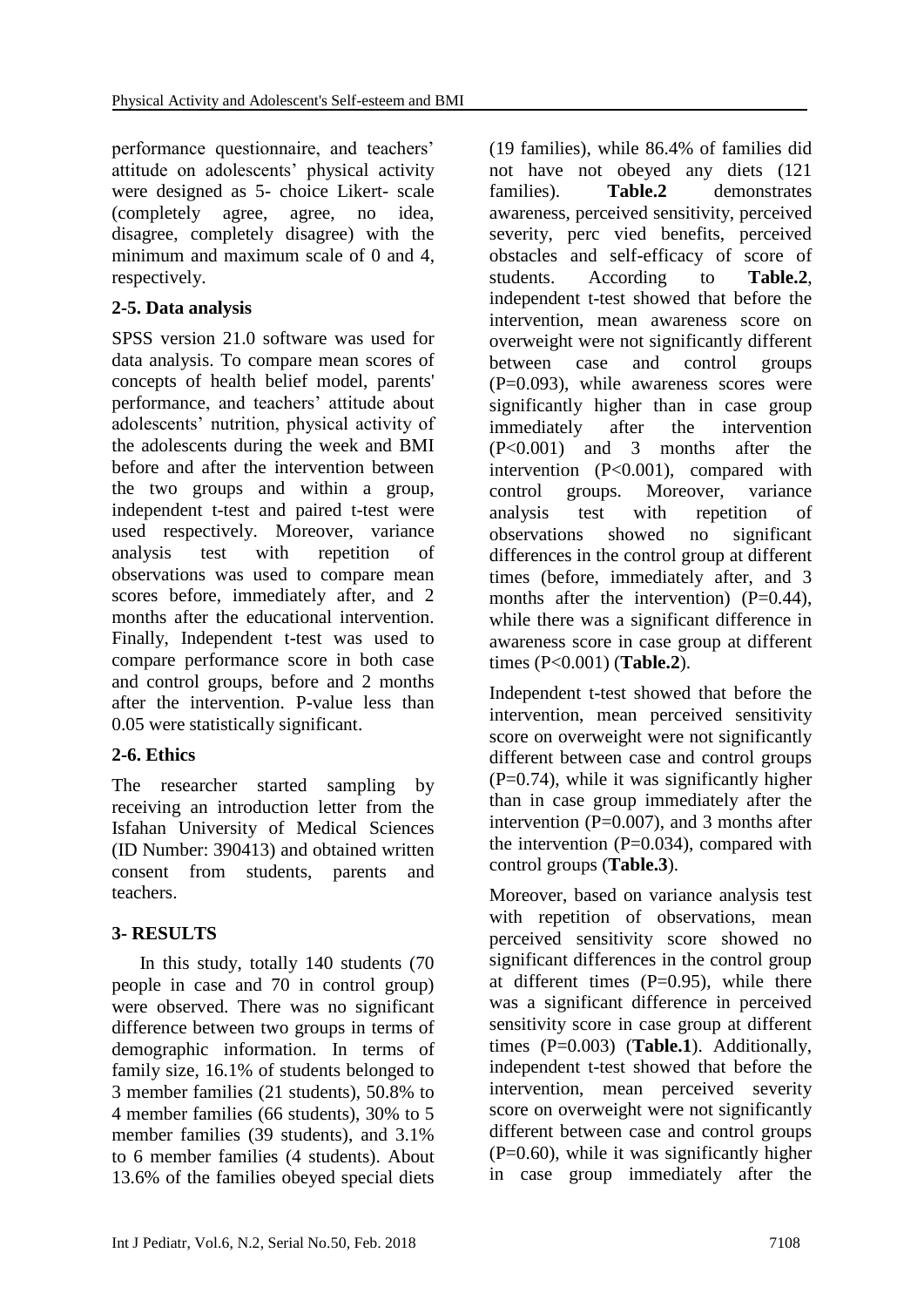performance questionnaire, and teachers' attitude on adolescents' physical activity were designed as 5- choice Likert- scale (completely agree, agree, no idea, disagree, completely disagree) with the minimum and maximum scale of 0 and 4, respectively.

# **2-5. Data analysis**

SPSS version 21.0 software was used for data analysis. To compare mean scores of concepts of health belief model, parents' performance, and teachers' attitude about adolescents' nutrition, physical activity of the adolescents during the week and BMI before and after the intervention between the two groups and within a group, independent t-test and paired t-test were used respectively. Moreover, variance analysis test with repetition of observations was used to compare mean scores before, immediately after, and 2 months after the educational intervention. Finally, Independent t-test was used to compare performance score in both case and control groups, before and 2 months after the intervention. P-value less than 0.05 were statistically significant.

# **2-6. Ethics**

The researcher started sampling by receiving an introduction letter from the Isfahan University of Medical Sciences (ID Number: 390413) and obtained written consent from students, parents and teachers.

# **3- RESULTS**

 In this study, totally 140 students (70 people in case and 70 in control group) were observed. There was no significant difference between two groups in terms of demographic information. In terms of family size, 16.1% of students belonged to 3 member families (21 students), 50.8% to 4 member families (66 students), 30% to 5 member families (39 students), and 3.1% to 6 member families (4 students). About 13.6% of the families obeyed special diets (19 families), while 86.4% of families did not have not obeyed any diets (121 families). **Table.2** demonstrates awareness, perceived sensitivity, perceived severity, perc vied benefits, perceived obstacles and self-efficacy of score of students. According to **Table.2**, independent t-test showed that before the intervention, mean awareness score on overweight were not significantly different between case and control groups  $(P=0.093)$ , while awareness scores were significantly higher than in case group immediately after the intervention (P<0.001) and 3 months after the intervention (P<0.001), compared with control groups. Moreover, variance analysis test with repetition of observations showed no significant differences in the control group at different times (before, immediately after, and 3 months after the intervention)  $(P=0.44)$ , while there was a significant difference in awareness score in case group at different times (P<0.001) (**Table.2**).

Independent t-test showed that before the intervention, mean perceived sensitivity score on overweight were not significantly different between case and control groups  $(P=0.74)$ , while it was significantly higher than in case group immediately after the intervention ( $P=0.007$ ), and 3 months after the intervention  $(P=0.034)$ , compared with control groups (**Table.3**).

Moreover, based on variance analysis test with repetition of observations, mean perceived sensitivity score showed no significant differences in the control group at different times  $(P=0.95)$ , while there was a significant difference in perceived sensitivity score in case group at different times (P=0.003) (**Table.1**). Additionally, independent t-test showed that before the intervention, mean perceived severity score on overweight were not significantly different between case and control groups  $(P=0.60)$ , while it was significantly higher in case group immediately after the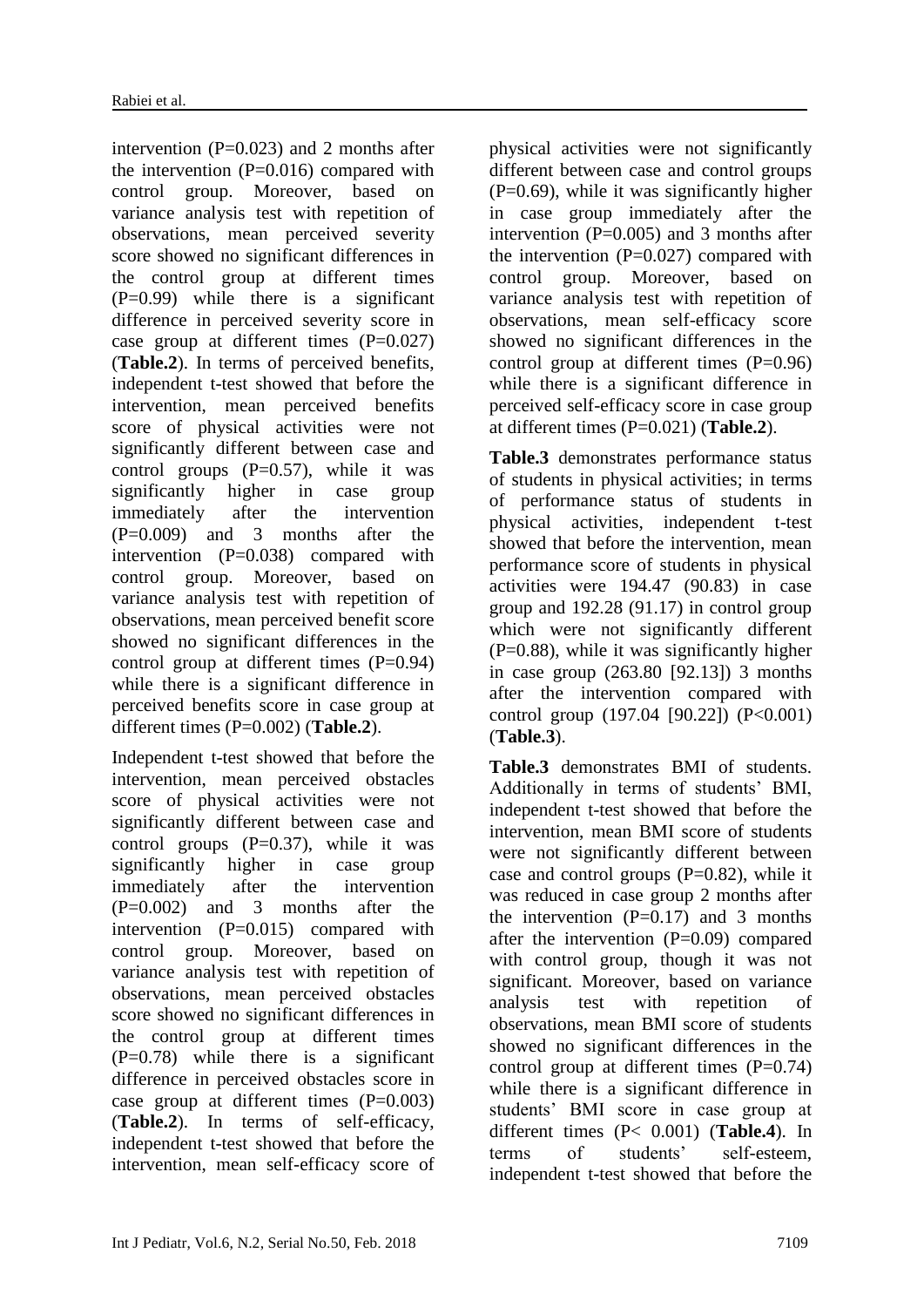intervention  $(P=0.023)$  and 2 months after the intervention  $(P=0.016)$  compared with control group. Moreover, based on variance analysis test with repetition of observations, mean perceived severity score showed no significant differences in the control group at different times (P=0.99) while there is a significant difference in perceived severity score in case group at different times  $(P=0.027)$ (**Table.2**). In terms of perceived benefits, independent t-test showed that before the intervention, mean perceived benefits score of physical activities were not significantly different between case and control groups  $(P=0.57)$ , while it was significantly higher in case group immediately after the intervention (P=0.009) and 3 months after the intervention  $(P=0.038)$  compared with control group. Moreover, based on variance analysis test with repetition of observations, mean perceived benefit score showed no significant differences in the control group at different times  $(P=0.94)$ while there is a significant difference in perceived benefits score in case group at different times (P=0.002) (**Table.2**).

Independent t-test showed that before the intervention, mean perceived obstacles score of physical activities were not significantly different between case and control groups  $(P=0.37)$ , while it was significantly higher in case group immediately after the intervention (P=0.002) and 3 months after the intervention (P=0.015) compared with control group. Moreover, based on variance analysis test with repetition of observations, mean perceived obstacles score showed no significant differences in the control group at different times  $(P=0.78)$  while there is a significant difference in perceived obstacles score in case group at different times  $(P=0.003)$ (**Table.2**). In terms of self-efficacy, independent t-test showed that before the intervention, mean self-efficacy score of

physical activities were not significantly different between case and control groups  $(P=0.69)$ , while it was significantly higher in case group immediately after the intervention  $(P=0.005)$  and 3 months after the intervention  $(P=0.027)$  compared with control group. Moreover, based on variance analysis test with repetition of observations, mean self-efficacy score showed no significant differences in the control group at different times  $(P=0.96)$ while there is a significant difference in perceived self-efficacy score in case group at different times (P=0.021) (**Table.2**).

**Table.3** demonstrates performance status of students in physical activities; in terms of performance status of students in physical activities, independent t-test showed that before the intervention, mean performance score of students in physical activities were 194.47 (90.83) in case group and 192.28 (91.17) in control group which were not significantly different  $(P=0.88)$ , while it was significantly higher in case group (263.80 [92.13]) 3 months after the intervention compared with control group (197.04 [90.22]) (P<0.001) (**Table.3**).

**Table.3** demonstrates BMI of students. Additionally in terms of students' BMI, independent t-test showed that before the intervention, mean BMI score of students were not significantly different between case and control groups  $(P=0.82)$ , while it was reduced in case group 2 months after the intervention  $(P=0.17)$  and 3 months after the intervention  $(P=0.09)$  compared with control group, though it was not significant. Moreover, based on variance analysis test with repetition of observations, mean BMI score of students showed no significant differences in the control group at different times  $(P=0.74)$ while there is a significant difference in students' BMI score in case group at different times (P< 0.001) (**Table.4**). In terms of students' self-esteem, independent t-test showed that before the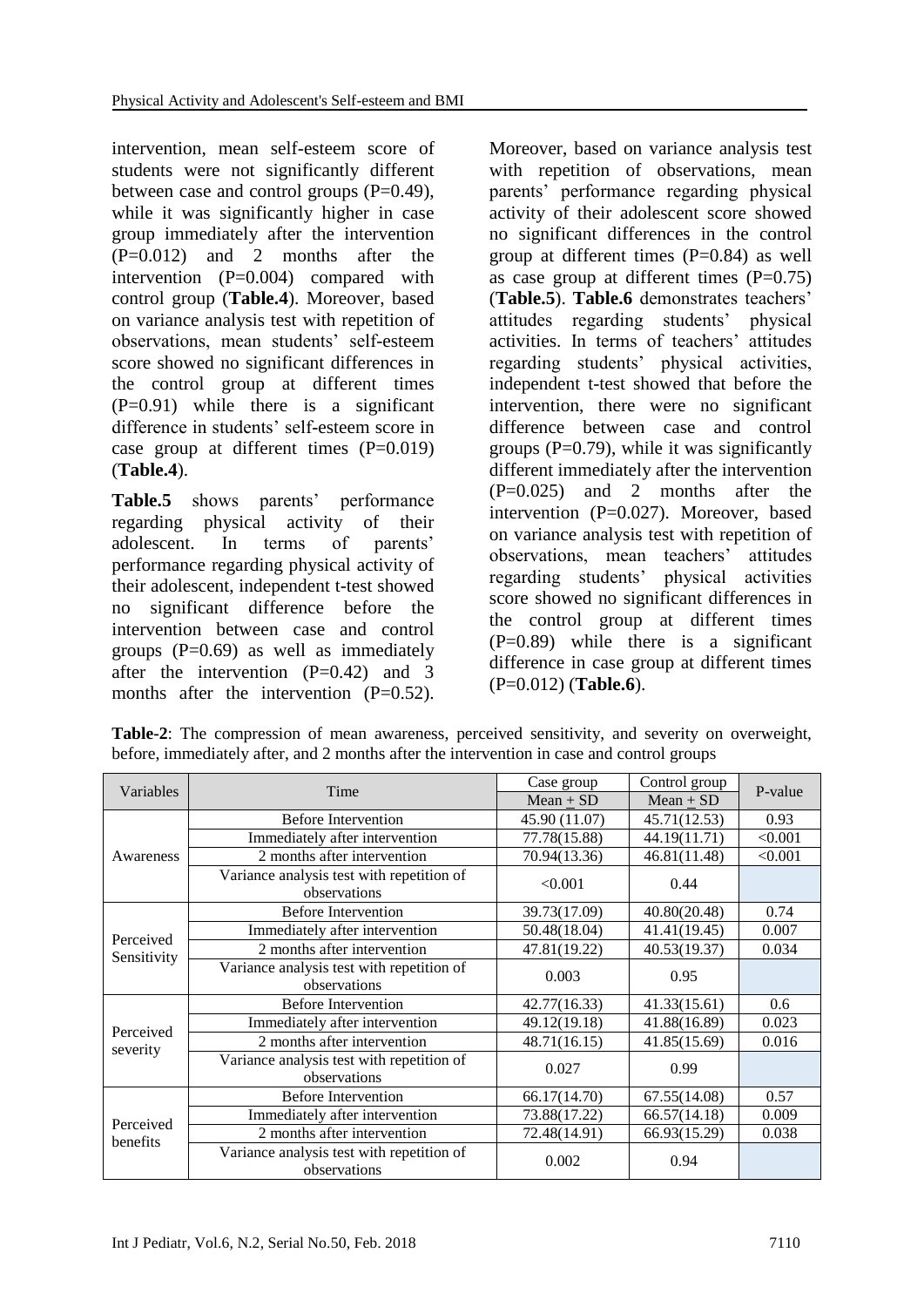intervention, mean self-esteem score of students were not significantly different between case and control groups (P=0.49), while it was significantly higher in case group immediately after the intervention (P=0.012) and 2 months after the intervention  $(P=0.004)$  compared with control group (**Table.4**). Moreover, based on variance analysis test with repetition of observations, mean students' self-esteem score showed no significant differences in the control group at different times  $(P=0.91)$  while there is a significant difference in students' self-esteem score in case group at different times  $(P=0.019)$ (**Table.4**).

**Table.5** shows parents' performance regarding physical activity of their adolescent. In terms of parents' performance regarding physical activity of their adolescent, independent t-test showed no significant difference before the intervention between case and control groups  $(P=0.69)$  as well as immediately after the intervention  $(P=0.42)$  and 3 months after the intervention  $(P=0.52)$ . Moreover, based on variance analysis test with repetition of observations, mean parents' performance regarding physical activity of their adolescent score showed no significant differences in the control group at different times (P=0.84) as well as case group at different times  $(P=0.75)$ (**Table.5**). **Table.6** demonstrates teachers' attitudes regarding students' physical activities. In terms of teachers' attitudes regarding students' physical activities, independent t-test showed that before the intervention, there were no significant difference between case and control groups  $(P=0.79)$ , while it was significantly different immediately after the intervention  $(P=0.025)$  and 2 months after the intervention (P=0.027). Moreover, based on variance analysis test with repetition of observations, mean teachers' attitudes regarding students' physical activities score showed no significant differences in the control group at different times  $(P=0.89)$  while there is a significant difference in case group at different times (P=0.012) (**Table.6**).

| Variables             | Time                                                      | Case group    | Control group | P-value |  |
|-----------------------|-----------------------------------------------------------|---------------|---------------|---------|--|
|                       |                                                           | Mean $\pm$ SD | Mean $\pm$ SD |         |  |
|                       | <b>Before Intervention</b>                                | 45.90 (11.07) | 45.71(12.53)  | 0.93    |  |
|                       | Immediately after intervention                            | 77.78(15.88)  | 44.19(11.71)  | < 0.001 |  |
| Awareness             | 2 months after intervention                               | 70.94(13.36)  | 46.81(11.48)  | < 0.001 |  |
|                       | Variance analysis test with repetition of<br>observations | < 0.001       | 0.44          |         |  |
|                       | <b>Before Intervention</b>                                | 39.73(17.09)  | 40.80(20.48)  | 0.74    |  |
| Perceived             | Immediately after intervention                            | 50.48(18.04)  | 41.41(19.45)  | 0.007   |  |
|                       | 2 months after intervention                               | 47.81(19.22)  | 40.53(19.37)  | 0.034   |  |
| Sensitivity           | Variance analysis test with repetition of<br>observations | 0.003         | 0.95          |         |  |
|                       | <b>Before Intervention</b>                                | 42.77(16.33)  | 41.33(15.61)  | 0.6     |  |
| Perceived             | Immediately after intervention                            | 49.12(19.18)  | 41.88(16.89)  | 0.023   |  |
| severity              | 2 months after intervention                               | 48.71(16.15)  | 41.85(15.69)  | 0.016   |  |
|                       | Variance analysis test with repetition of<br>observations | 0.027         | 0.99          |         |  |
| Perceived<br>benefits | <b>Before Intervention</b>                                | 66.17(14.70)  | 67.55(14.08)  | 0.57    |  |
|                       | Immediately after intervention                            | 73.88(17.22)  | 66.57(14.18)  | 0.009   |  |
|                       | 2 months after intervention                               | 72.48(14.91)  | 66.93(15.29)  | 0.038   |  |
|                       | Variance analysis test with repetition of<br>observations | 0.002         | 0.94          |         |  |

**Table-2**: The compression of mean awareness, perceived sensitivity, and severity on overweight, before, immediately after, and 2 months after the intervention in case and control groups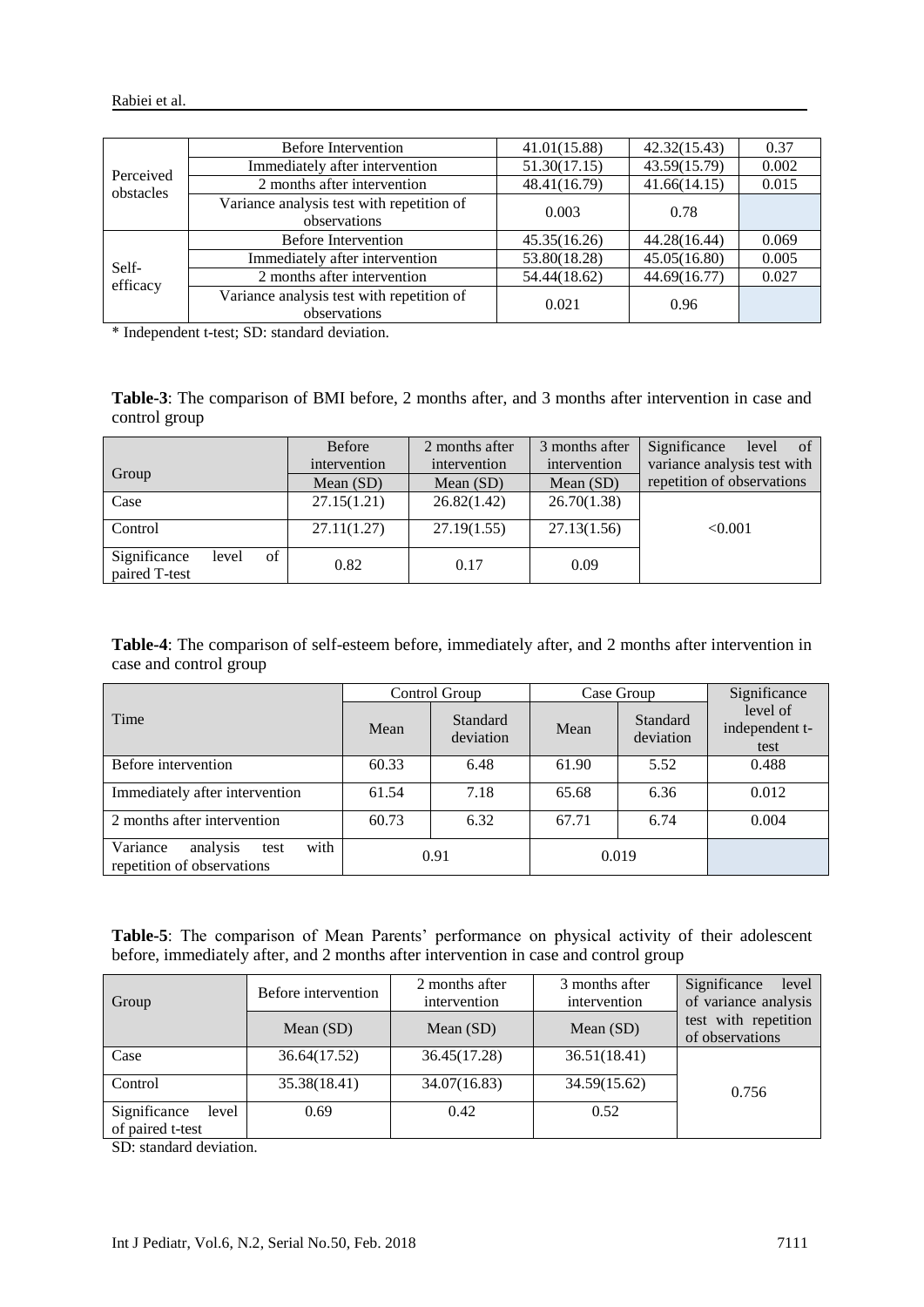| Perceived<br>obstacles | Before Intervention                                       | 41.01(15.88) | 42.32(15.43) | 0.37  |
|------------------------|-----------------------------------------------------------|--------------|--------------|-------|
|                        | Immediately after intervention                            | 51.30(17.15) | 43.59(15.79) | 0.002 |
|                        | 2 months after intervention                               | 48.41(16.79) | 41.66(14.15) | 0.015 |
|                        | Variance analysis test with repetition of<br>observations | 0.003        | 0.78         |       |
| Self-<br>efficacy      | <b>Before Intervention</b>                                | 45.35(16.26) | 44.28(16.44) | 0.069 |
|                        | Immediately after intervention                            | 53.80(18.28) | 45.05(16.80) | 0.005 |
|                        | 2 months after intervention                               | 54.44(18.62) | 44.69(16.77) | 0.027 |
|                        | Variance analysis test with repetition of<br>observations | 0.021        | 0.96         |       |

\* Independent t-test; SD: standard deviation.

**Table-3**: The comparison of BMI before, 2 months after, and 3 months after intervention in case and control group

|                                              | <b>Before</b> | 2 months after | 3 months after | Significance<br>of<br>level |  |
|----------------------------------------------|---------------|----------------|----------------|-----------------------------|--|
|                                              | intervention  | intervention   | intervention   | variance analysis test with |  |
| Group                                        | Mean $(SD)$   | Mean $(SD)$    | Mean $(SD)$    | repetition of observations  |  |
| Case                                         | 27.15(1.21)   | 26.82(1.42)    | 26.70(1.38)    |                             |  |
| Control                                      | 27.11(1.27)   | 27.19(1.55)    | 27.13(1.56)    | < 0.001                     |  |
| of<br>Significance<br>level<br>paired T-test | 0.82          | 0.17           | 0.09           |                             |  |

**Table-4**: The comparison of self-esteem before, immediately after, and 2 months after intervention in case and control group

|                                                                    | Control Group |                       | Case Group |                       | Significance                       |  |
|--------------------------------------------------------------------|---------------|-----------------------|------------|-----------------------|------------------------------------|--|
| Time                                                               | Mean          | Standard<br>deviation | Mean       | Standard<br>deviation | level of<br>independent t-<br>test |  |
| Before intervention                                                | 60.33         | 6.48                  | 61.90      | 5.52                  | 0.488                              |  |
| Immediately after intervention                                     | 61.54         | 7.18                  | 65.68      | 6.36                  | 0.012                              |  |
| 2 months after intervention                                        | 60.73         | 6.32                  | 67.71      | 6.74                  | 0.004                              |  |
| with<br>Variance<br>analysis<br>test<br>repetition of observations | 0.91          |                       | 0.019      |                       |                                    |  |

**Table-5**: The comparison of Mean Parents' performance on physical activity of their adolescent before, immediately after, and 2 months after intervention in case and control group

|                                           | Before intervention | 2 months after | 3 months after | Significance<br>level                   |
|-------------------------------------------|---------------------|----------------|----------------|-----------------------------------------|
| Group                                     |                     | intervention   | intervention   | of variance analysis                    |
|                                           | Mean $(SD)$         | Mean $(SD)$    | Mean $(SD)$    | test with repetition<br>of observations |
| Case                                      | 36.64(17.52)        | 36.45(17.28)   | 36.51(18.41)   |                                         |
| Control                                   | 35.38(18.41)        | 34.07(16.83)   | 34.59(15.62)   | 0.756                                   |
| Significance<br>level<br>of paired t-test | 0.69                | 0.42           | 0.52           |                                         |

SD: standard deviation.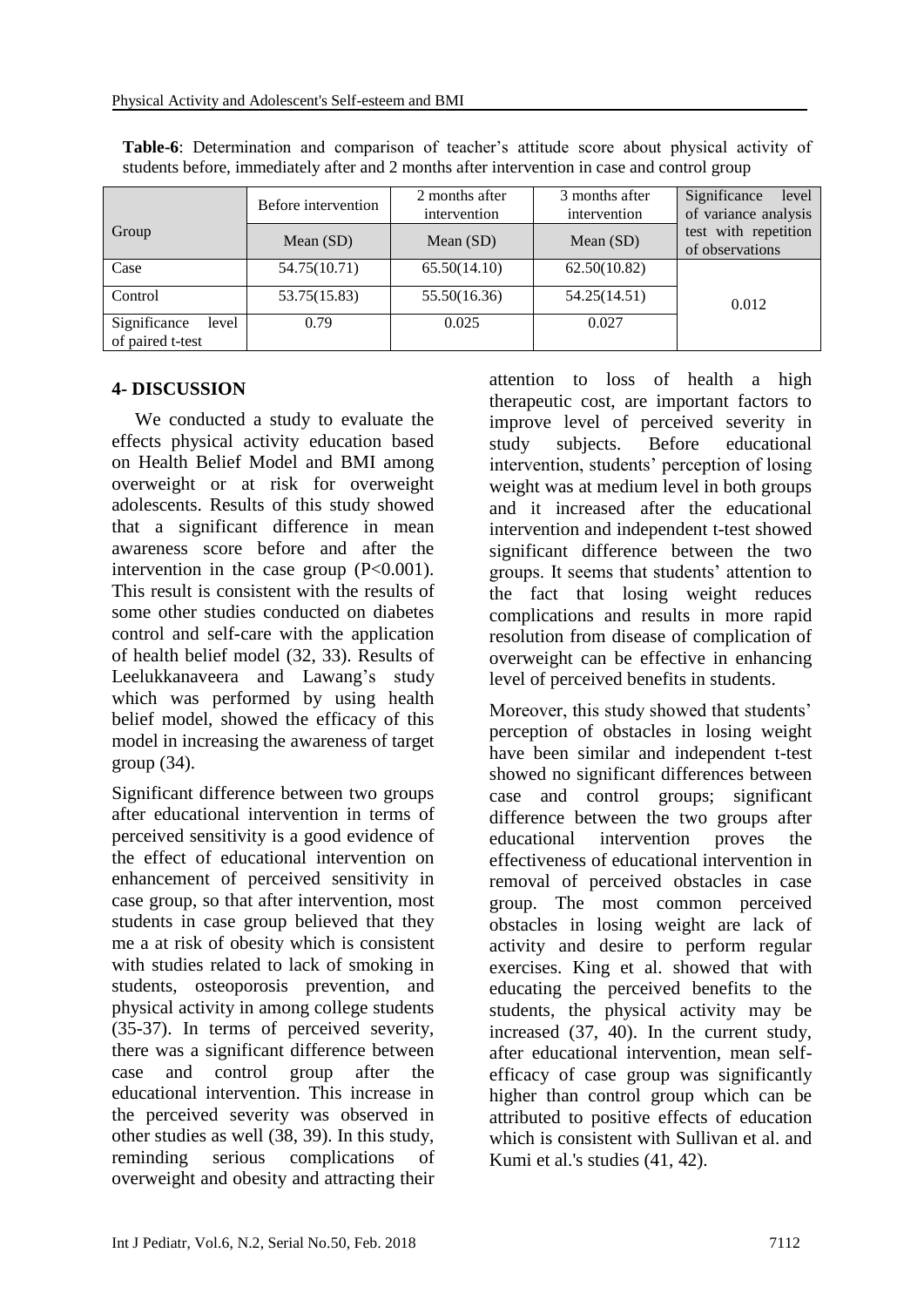|                                           | Before intervention | 2 months after<br>intervention | 3 months after<br>intervention | Significance<br>level<br>of variance analysis |
|-------------------------------------------|---------------------|--------------------------------|--------------------------------|-----------------------------------------------|
| Group                                     | Mean $(SD)$         | Mean (SD)                      | Mean (SD)                      | test with repetition<br>of observations       |
| Case                                      | 54.75(10.71)        | 65.50(14.10)                   | 62.50(10.82)                   |                                               |
| Control                                   | 53.75(15.83)        | 55.50(16.36)                   | 54.25(14.51)                   | 0.012                                         |
| Significance<br>level<br>of paired t-test | 0.79                | 0.025                          | 0.027                          |                                               |

**Table-6**: Determination and comparison of teacher's attitude score about physical activity of students before, immediately after and 2 months after intervention in case and control group

#### **4- DISCUSSION**

 We conducted a study to evaluate the effects physical activity education based on Health Belief Model and BMI among overweight or at risk for overweight adolescents. Results of this study showed that a significant difference in mean awareness score before and after the intervention in the case group  $(P<0.001)$ . This result is consistent with the results of some other studies conducted on diabetes control and self-care with the application of health belief model (32, 33). Results of Leelukkanaveera and Lawang's study which was performed by using health belief model, showed the efficacy of this model in increasing the awareness of target group (34).

Significant difference between two groups after educational intervention in terms of perceived sensitivity is a good evidence of the effect of educational intervention on enhancement of perceived sensitivity in case group, so that after intervention, most students in case group believed that they me a at risk of obesity which is consistent with studies related to lack of smoking in students, osteoporosis prevention, and physical activity in among college students (35-37). In terms of perceived severity, there was a significant difference between case and control group after the educational intervention. This increase in the perceived severity was observed in other studies as well (38, 39). In this study, reminding serious complications of overweight and obesity and attracting their attention to loss of health a high therapeutic cost, are important factors to improve level of perceived severity in study subjects. Before educational intervention, students' perception of losing weight was at medium level in both groups and it increased after the educational intervention and independent t-test showed significant difference between the two groups. It seems that students' attention to the fact that losing weight reduces complications and results in more rapid resolution from disease of complication of overweight can be effective in enhancing level of perceived benefits in students.

Moreover, this study showed that students' perception of obstacles in losing weight have been similar and independent t-test showed no significant differences between case and control groups; significant difference between the two groups after educational intervention proves the effectiveness of educational intervention in removal of perceived obstacles in case group. The most common perceived obstacles in losing weight are lack of activity and desire to perform regular exercises. King et al. showed that with educating the perceived benefits to the students, the physical activity may be increased (37, 40). In the current study, after educational intervention, mean selfefficacy of case group was significantly higher than control group which can be attributed to positive effects of education which is consistent with Sullivan et al. and Kumi et al.'s studies (41, 42).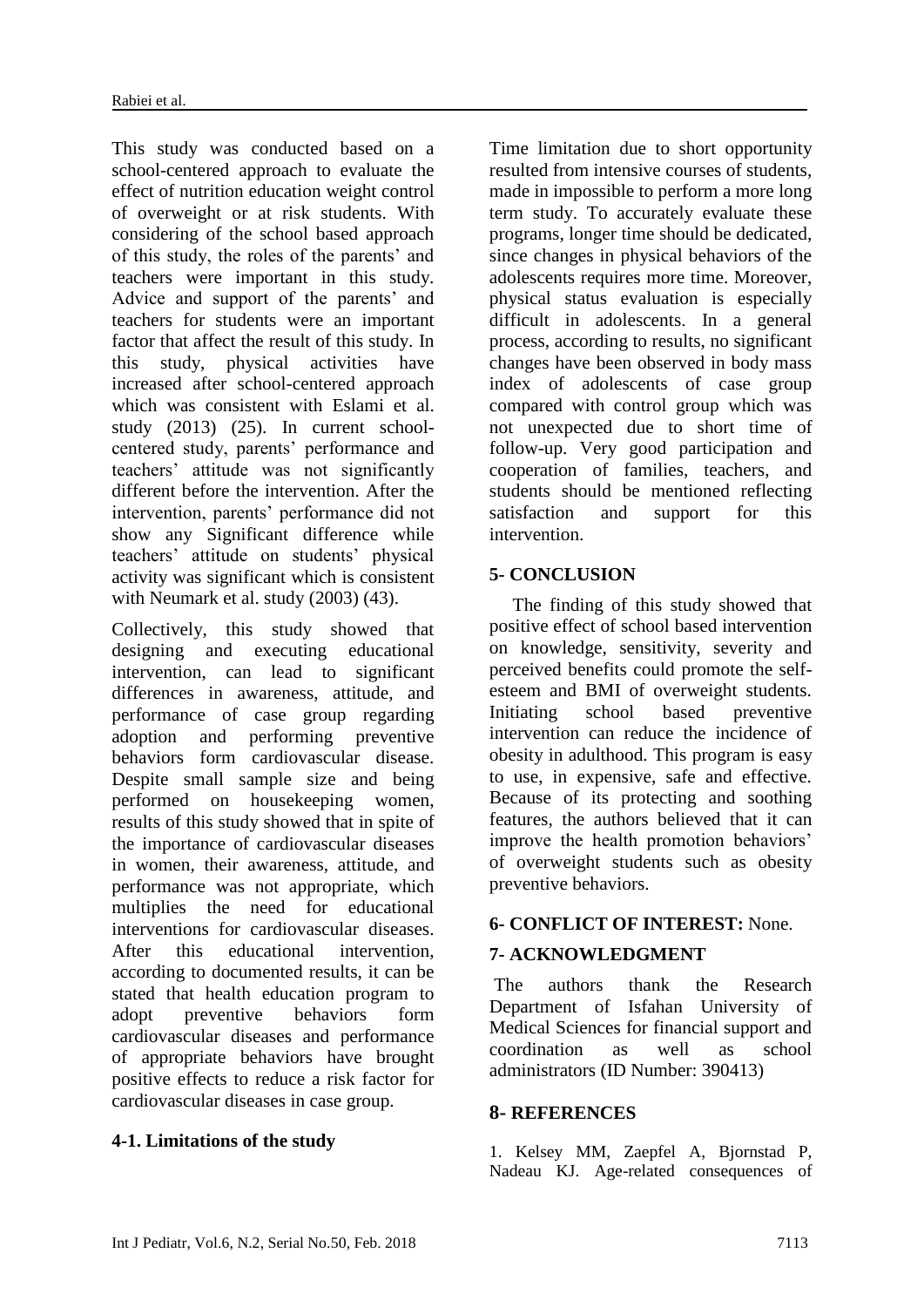This study was conducted based on a school-centered approach to evaluate the effect of nutrition education weight control of overweight or at risk students. With considering of the school based approach of this study, the roles of the parents' and teachers were important in this study. Advice and support of the parents' and teachers for students were an important factor that affect the result of this study. In this study, physical activities have increased after school-centered approach which was consistent with Eslami et al. study (2013) (25). In current schoolcentered study, parents' performance and teachers' attitude was not significantly different before the intervention. After the intervention, parents' performance did not show any Significant difference while teachers' attitude on students' physical activity was significant which is consistent with Neumark et al. study (2003) (43).

Collectively, this study showed that designing and executing educational intervention, can lead to significant differences in awareness, attitude, and performance of case group regarding adoption and performing preventive behaviors form cardiovascular disease. Despite small sample size and being performed on housekeeping women, results of this study showed that in spite of the importance of cardiovascular diseases in women, their awareness, attitude, and performance was not appropriate, which multiplies the need for educational interventions for cardiovascular diseases. After this educational intervention, according to documented results, it can be stated that health education program to adopt preventive behaviors form cardiovascular diseases and performance of appropriate behaviors have brought positive effects to reduce a risk factor for cardiovascular diseases in case group.

#### **4-1. Limitations of the study**

Time limitation due to short opportunity resulted from intensive courses of students, made in impossible to perform a more long term study. To accurately evaluate these programs, longer time should be dedicated, since changes in physical behaviors of the adolescents requires more time. Moreover, physical status evaluation is especially difficult in adolescents. In a general process, according to results, no significant changes have been observed in body mass index of adolescents of case group compared with control group which was not unexpected due to short time of follow-up. Very good participation and cooperation of families, teachers, and students should be mentioned reflecting satisfaction and support for this intervention.

#### **5- CONCLUSION**

 The finding of this study showed that positive effect of school based intervention on knowledge, sensitivity, severity and perceived benefits could promote the selfesteem and BMI of overweight students. Initiating school based preventive intervention can reduce the incidence of obesity in adulthood. This program is easy to use, in expensive, safe and effective. Because of its protecting and soothing features, the authors believed that it can improve the health promotion behaviors' of overweight students such as obesity preventive behaviors.

#### **6- CONFLICT OF INTEREST:** None.

# **7- ACKNOWLEDGMENT**

The authors thank the Research Department of Isfahan University of Medical Sciences for financial support and coordination as well as school administrators (ID Number: 390413)

#### **8- REFERENCES**

1. Kelsey MM, Zaepfel A, Bjornstad P, Nadeau KJ. Age-related consequences of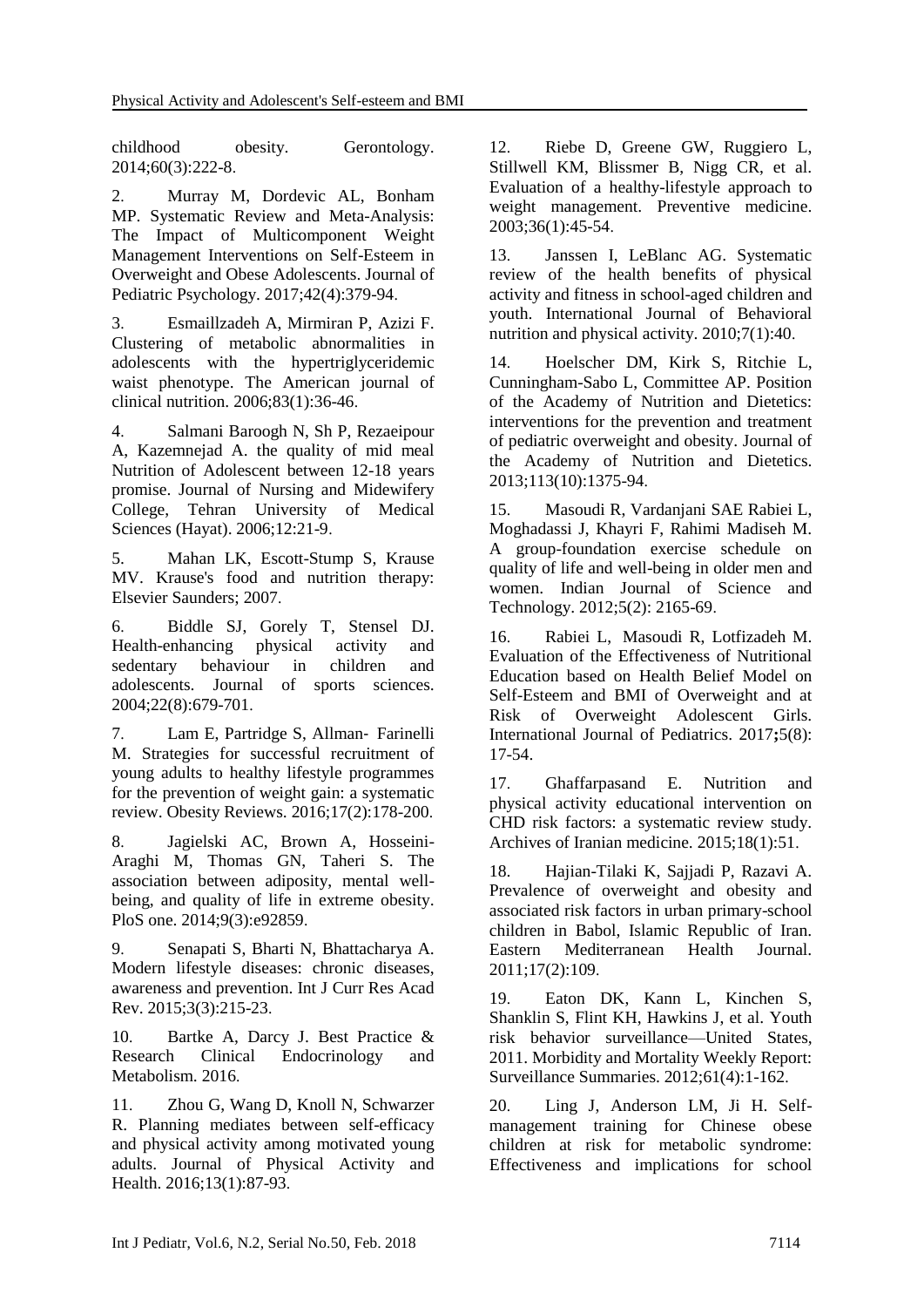childhood obesity. Gerontology. 2014;60(3):222-8.

2. Murray M, Dordevic AL, Bonham MP. Systematic Review and Meta-Analysis: The Impact of Multicomponent Weight Management Interventions on Self-Esteem in Overweight and Obese Adolescents. Journal of Pediatric Psychology. 2017;42(4):379-94.

3. Esmaillzadeh A, Mirmiran P, Azizi F. Clustering of metabolic abnormalities in adolescents with the hypertriglyceridemic waist phenotype. The American journal of clinical nutrition. 2006;83(1):36-46.

4. Salmani Baroogh N, Sh P, Rezaeipour A, Kazemnejad A. the quality of mid meal Nutrition of Adolescent between 12-18 years promise. Journal of Nursing and Midewifery College, Tehran University of Medical Sciences (Hayat). 2006;12:21-9.

5. Mahan LK, Escott-Stump S, Krause MV. Krause's food and nutrition therapy: Elsevier Saunders; 2007.

6. Biddle SJ, Gorely T, Stensel DJ. Health-enhancing physical activity and sedentary behaviour in children and adolescents. Journal of sports sciences. 2004;22(8):679-701.

7. Lam E, Partridge S, Allman‐ Farinelli M. Strategies for successful recruitment of young adults to healthy lifestyle programmes for the prevention of weight gain: a systematic review. Obesity Reviews. 2016;17(2):178-200.

8. Jagielski AC, Brown A, Hosseini-Araghi M, Thomas GN, Taheri S. The association between adiposity, mental wellbeing, and quality of life in extreme obesity. PloS one. 2014;9(3):e92859.

9. Senapati S, Bharti N, Bhattacharya A. Modern lifestyle diseases: chronic diseases, awareness and prevention. Int J Curr Res Acad Rev. 2015;3(3):215-23.

10. Bartke A, Darcy J. Best Practice & Research Clinical Endocrinology and Metabolism. 2016.

11. Zhou G, Wang D, Knoll N, Schwarzer R. Planning mediates between self-efficacy and physical activity among motivated young adults. Journal of Physical Activity and Health. 2016;13(1):87-93.

12. Riebe D, Greene GW, Ruggiero L, Stillwell KM, Blissmer B, Nigg CR, et al. Evaluation of a healthy-lifestyle approach to weight management. Preventive medicine. 2003;36(1):45-54.

13. Janssen I, LeBlanc AG. Systematic review of the health benefits of physical activity and fitness in school-aged children and youth. International Journal of Behavioral nutrition and physical activity. 2010;7(1):40.

14. Hoelscher DM, Kirk S, Ritchie L, Cunningham-Sabo L, Committee AP. Position of the Academy of Nutrition and Dietetics: interventions for the prevention and treatment of pediatric overweight and obesity. Journal of the Academy of Nutrition and Dietetics. 2013;113(10):1375-94.

15. Masoudi R, Vardanjani SAE Rabiei L, Moghadassi J, Khayri F, Rahimi Madiseh M. A group-foundation exercise schedule on quality of life and well-being in older men and women. Indian Journal of Science and Technology. 2012;5(2): 2165-69.

16. Rabiei L, Masoudi R, Lotfizadeh M. Evaluation of the Effectiveness of Nutritional Education based on Health Belief Model on Self-Esteem and BMI of Overweight and at Risk of Overweight Adolescent Girls. International Journal of Pediatrics. 2017**;**5(8): 17-54.

17. Ghaffarpasand E. Nutrition and physical activity educational intervention on CHD risk factors: a systematic review study. Archives of Iranian medicine. 2015;18(1):51.

18. Hajian-Tilaki K, Sajjadi P, Razavi A. Prevalence of overweight and obesity and associated risk factors in urban primary-school children in Babol, Islamic Republic of Iran. Eastern Mediterranean Health Journal. 2011;17(2):109.

19. Eaton DK, Kann L, Kinchen S, Shanklin S, Flint KH, Hawkins J, et al. Youth risk behavior surveillance—United States, 2011. Morbidity and Mortality Weekly Report: Surveillance Summaries. 2012;61(4):1-162.

20. Ling J, Anderson LM, Ji H. Selfmanagement training for Chinese obese children at risk for metabolic syndrome: Effectiveness and implications for school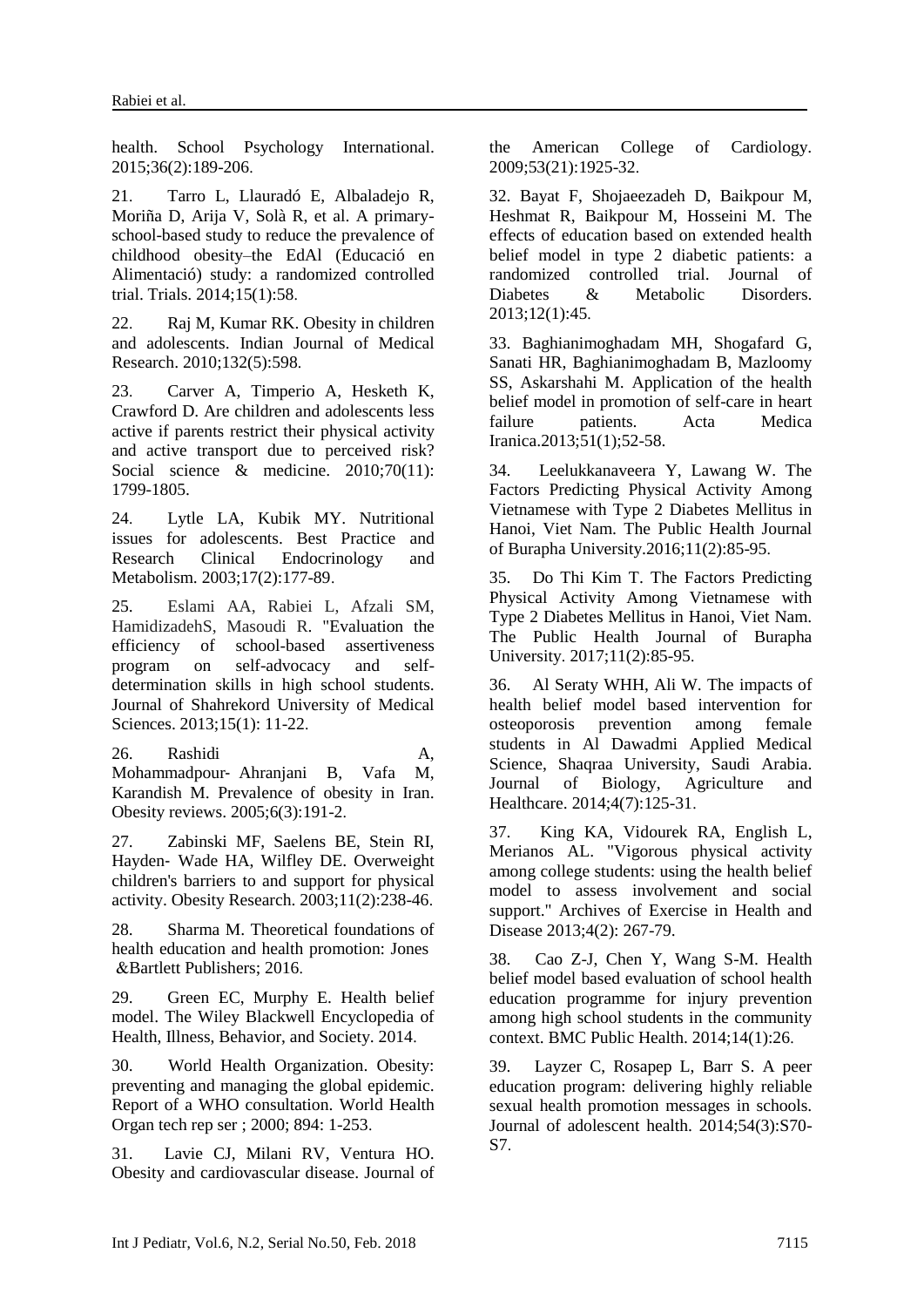health. School Psychology International. 2015;36(2):189-206.

21. Tarro L, Llauradó E, Albaladejo R, Moriña D, Arija V, Solà R, et al. A primaryschool-based study to reduce the prevalence of childhood obesity–the EdAl (Educació en Alimentació) study: a randomized controlled trial. Trials. 2014;15(1):58.

22. Raj M, Kumar RK. Obesity in children and adolescents. Indian Journal of Medical Research. 2010;132(5):598.

23. Carver A, Timperio A, Hesketh K, Crawford D. Are children and adolescents less active if parents restrict their physical activity and active transport due to perceived risk? Social science & medicine. 2010:70(11): 1799-1805.

24. Lytle LA, Kubik MY. Nutritional issues for adolescents. Best Practice and Research Clinical Endocrinology and Metabolism. 2003;17(2):177-89.

25. Eslami AA, Rabiei L, Afzali SM, HamidizadehS, Masoudi R. "Evaluation the efficiency of school-based assertiveness program on self-advocacy and selfdetermination skills in high school students. Journal of Shahrekord University of Medical Sciences. 2013;15(1): 11-22.

26. Rashidi A, Mohammadpour‐ Ahranjani B, Vafa M, Karandish M. Prevalence of obesity in Iran. Obesity reviews. 2005;6(3):191-2.

27. Zabinski MF, Saelens BE, Stein RI, Hayden‐ Wade HA, Wilfley DE. Overweight children's barriers to and support for physical activity. Obesity Research. 2003;11(2):238-46.

28. Sharma M. Theoretical foundations of health education and health promotion: Jones &Bartlett Publishers; 2016.

29. Green EC, Murphy E. Health belief model. The Wiley Blackwell Encyclopedia of Health, Illness, Behavior, and Society. 2014.

30. World Health Organization. Obesity: preventing and managing the global epidemic. Report of a WHO consultation. World Health Organ tech rep ser ; 2000; 894: 1-253.

31. Lavie CJ, Milani RV, Ventura HO. Obesity and cardiovascular disease. Journal of the American College of Cardiology. 2009;53(21):1925-32.

32. Bayat F, Shojaeezadeh D, Baikpour M, Heshmat R, Baikpour M, Hosseini M. The effects of education based on extended health belief model in type 2 diabetic patients: a randomized controlled trial. Journal of Diabetes & Metabolic Disorders. 2013;12(1):45.

33. Baghianimoghadam MH, Shogafard G, Sanati HR, Baghianimoghadam B, Mazloomy SS, Askarshahi M. Application of the health belief model in promotion of self-care in heart failure patients. Acta Medica Iranica.2013;51(1);52-58.

34. Leelukkanaveera Y, Lawang W. The Factors Predicting Physical Activity Among Vietnamese with Type 2 Diabetes Mellitus in Hanoi, Viet Nam. The Public Health Journal of Burapha University.2016;11(2):85-95.

35. Do Thi Kim T. The Factors Predicting Physical Activity Among Vietnamese with Type 2 Diabetes Mellitus in Hanoi, Viet Nam. The Public Health Journal of Burapha University. 2017;11(2):85-95.

36. Al Seraty WHH, Ali W. The impacts of health belief model based intervention for osteoporosis prevention among female students in Al Dawadmi Applied Medical Science, Shaqraa University, Saudi Arabia. Journal of Biology, Agriculture and Healthcare. 2014;4(7):125-31.

37. King KA, Vidourek RA, English L, Merianos AL. "Vigorous physical activity among college students: using the health belief model to assess involvement and social support." Archives of Exercise in Health and Disease 2013;4(2): 267-79.

38. Cao Z-J, Chen Y, Wang S-M. Health belief model based evaluation of school health education programme for injury prevention among high school students in the community context. BMC Public Health. 2014;14(1):26.

39. Layzer C, Rosapep L, Barr S. A peer education program: delivering highly reliable sexual health promotion messages in schools. Journal of adolescent health. 2014;54(3):S70- S7.